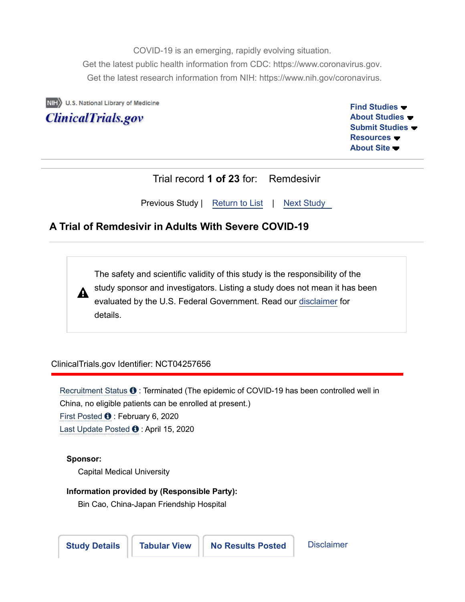COVID-19 is an emerging, rapidly evolving situation. Get the latest public health information from CDC: https://www.coronavirus.gov. Get the latest research information from NIH: https://www.nih.gov/coronavirus.

NIH U.S. National Library of Medicine

**ClinicalTrials.gov** 

**Find Studies About Studies Submit Studies Resources About Site**

| Trial record 1 of 23 for: Remdesivir         |  |  |
|----------------------------------------------|--|--|
| Previous Study   Return to List   Next Study |  |  |

# **A Trial of Remdesivir in Adults With Severe COVID-19**

The safety and scientific validity of this study is the responsibility of the study sponsor and investigators. Listing a study does not mean it has been A evaluated by the U.S. Federal Government. Read our disclaimer for details.

# ClinicalTrials.gov Identifier: NCT04257656

Recruitment Status  $\bullet$  : Terminated (The epidemic of COVID-19 has been controlled well in China, no eligible patients can be enrolled at present.) First Posted  $\bullet$  : February 6, 2020 Last Update Posted  $\bullet$  : April 15, 2020

### **Sponsor:**

Capital Medical University

### **Information provided by (Responsible Party):**

Bin Cao, China-Japan Friendship Hospital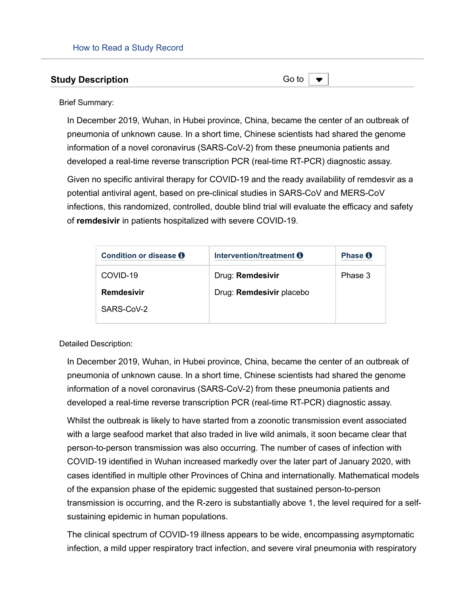#### **Study Description**

Go to  $\vert -$ 

Brief Summary:

In December 2019, Wuhan, in Hubei province, China, became the center of an outbreak of pneumonia of unknown cause. In a short time, Chinese scientists had shared the genome information of a novel coronavirus (SARS-CoV-2) from these pneumonia patients and developed a real-time reverse transcription PCR (real-time RT-PCR) diagnostic assay.

Given no specific antiviral therapy for COVID-19 and the ready availability of remdesvir as a potential antiviral agent, based on pre-clinical studies in SARS-CoV and MERS-CoV infections, this randomized, controlled, double blind trial will evaluate the efficacy and safety of **remdesivir** in patients hospitalized with severe COVID-19.

| Condition or disease O | Intervention/treatment <b>O</b> | Phase <b>O</b><br> |
|------------------------|---------------------------------|--------------------|
| COVID-19               | Drug: Remdesivir                | Phase 3            |
| Remdesivir             | Drug: Remdesivir placebo        |                    |
| SARS-CoV-2             |                                 |                    |

Detailed Description:

In December 2019, Wuhan, in Hubei province, China, became the center of an outbreak of pneumonia of unknown cause. In a short time, Chinese scientists had shared the genome information of a novel coronavirus (SARS-CoV-2) from these pneumonia patients and developed a real-time reverse transcription PCR (real-time RT-PCR) diagnostic assay.

Whilst the outbreak is likely to have started from a zoonotic transmission event associated with a large seafood market that also traded in live wild animals, it soon became clear that person-to-person transmission was also occurring. The number of cases of infection with COVID-19 identified in Wuhan increased markedly over the later part of January 2020, with cases identified in multiple other Provinces of China and internationally. Mathematical models of the expansion phase of the epidemic suggested that sustained person-to-person transmission is occurring, and the R-zero is substantially above 1, the level required for a selfsustaining epidemic in human populations.

The clinical spectrum of COVID-19 illness appears to be wide, encompassing asymptomatic infection, a mild upper respiratory tract infection, and severe viral pneumonia with respiratory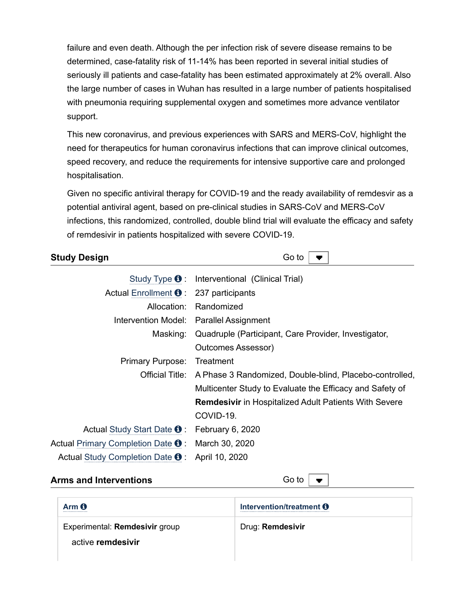failure and even death. Although the per infection risk of severe disease remains to be determined, case-fatality risk of 11-14% has been reported in several initial studies of seriously ill patients and case-fatality has been estimated approximately at 2% overall. Also the large number of cases in Wuhan has resulted in a large number of patients hospitalised with pneumonia requiring supplemental oxygen and sometimes more advance ventilator support.

This new coronavirus, and previous experiences with SARS and MERS-CoV, highlight the need for therapeutics for human coronavirus infections that can improve clinical outcomes, speed recovery, and reduce the requirements for intensive supportive care and prolonged hospitalisation.

Given no specific antiviral therapy for COVID-19 and the ready availability of remdesvir as a potential antiviral agent, based on pre-clinical studies in SARS-CoV and MERS-CoV infections, this randomized, controlled, double blind trial will evaluate the efficacy and safety of remdesivir in patients hospitalized with severe COVID-19.

# **Study Design**

Go to

|                                                     | Study Type $\Theta$ : Interventional (Clinical Trial)                   |
|-----------------------------------------------------|-------------------------------------------------------------------------|
| Actual Enrollment $\bullet$ : 237 participants      |                                                                         |
|                                                     | Allocation: Randomized                                                  |
|                                                     | Intervention Model: Parallel Assignment                                 |
| Masking:                                            | Quadruple (Participant, Care Provider, Investigator,                    |
|                                                     | <b>Outcomes Assessor)</b>                                               |
| <b>Primary Purpose:</b>                             | Treatment                                                               |
|                                                     | Official Title: A Phase 3 Randomized, Double-blind, Placebo-controlled, |
|                                                     | Multicenter Study to Evaluate the Efficacy and Safety of                |
|                                                     | <b>Remdesivir</b> in Hospitalized Adult Patients With Severe            |
|                                                     | COVID-19.                                                               |
| Actual Study Start Date <b>O</b> : February 6, 2020 |                                                                         |
| Actual Primary Completion Date $\mathbf 0$ :        | March 30, 2020                                                          |
| Actual Study Completion Date $\mathbf{\Theta}$ :    | April 10, 2020                                                          |

# **Arms and Interventions**

Go to

| Arm <sub>0</sub><br>           | Intervention/treatment <b>O</b> |
|--------------------------------|---------------------------------|
| Experimental: Remdesivir group | Drug: Remdesivir                |
| active remdesivir              |                                 |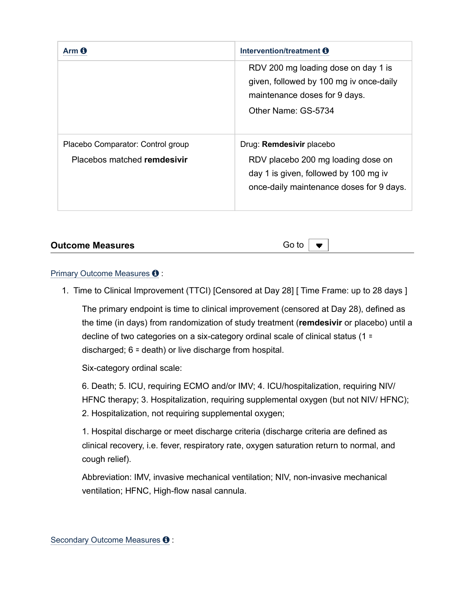|                                                                  | Intervention/treatment <b>O</b>                                                                                                                     |
|------------------------------------------------------------------|-----------------------------------------------------------------------------------------------------------------------------------------------------|
|                                                                  | RDV 200 mg loading dose on day 1 is<br>given, followed by 100 mg iv once-daily<br>maintenance doses for 9 days.<br>Other Name: GS-5734              |
| Placebo Comparator: Control group<br>Placebos matched remdesivir | Drug: Remdesivir placebo<br>RDV placebo 200 mg loading dose on<br>day 1 is given, followed by 100 mg iv<br>once-daily maintenance doses for 9 days. |

# **Outcome Measures**

Go to  $\blacksquare$ 

### Primary Outcome Measures  $\mathbf \Theta$  :

1. Time to Clinical Improvement (TTCI) [Censored at Day 28] [ Time Frame: up to 28 days ]

The primary endpoint is time to clinical improvement (censored at Day 28), defined as the time (in days) from randomization of study treatment (**remdesivir** or placebo) until a decline of two categories on a six-category ordinal scale of clinical status (1 = discharged; 6 = death) or live discharge from hospital.

Six-category ordinal scale:

6. Death; 5. ICU, requiring ECMO and/or IMV; 4. ICU/hospitalization, requiring NIV/ HFNC therapy; 3. Hospitalization, requiring supplemental oxygen (but not NIV/ HFNC); 2. Hospitalization, not requiring supplemental oxygen;

1. Hospital discharge or meet discharge criteria (discharge criteria are defined as clinical recovery, i.e. fever, respiratory rate, oxygen saturation return to normal, and cough relief).

Abbreviation: IMV, invasive mechanical ventilation; NIV, non-invasive mechanical ventilation; HFNC, High-flow nasal cannula.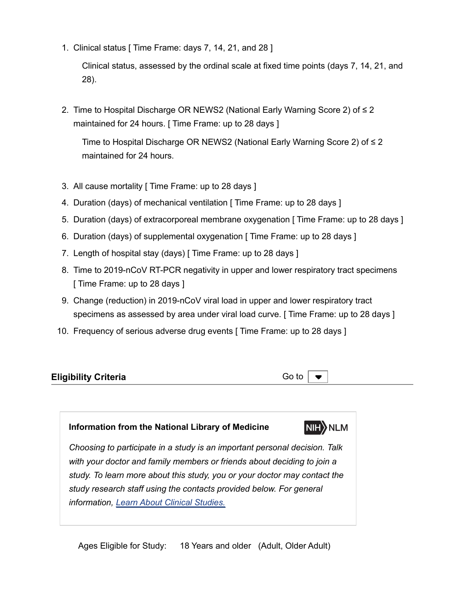1. Clinical status [ Time Frame: days 7, 14, 21, and 28 ]

Clinical status, assessed by the ordinal scale at fixed time points (days 7, 14, 21, and 28).

2. Time to Hospital Discharge OR NEWS2 (National Early Warning Score 2) of ≤ 2 maintained for 24 hours. [ Time Frame: up to 28 days ]

Time to Hospital Discharge OR NEWS2 (National Early Warning Score 2) of ≤ 2 maintained for 24 hours.

- 3. All cause mortality [ Time Frame: up to 28 days ]
- 4. Duration (days) of mechanical ventilation [ Time Frame: up to 28 days ]
- 5. Duration (days) of extracorporeal membrane oxygenation [ Time Frame: up to 28 days ]
- 6. Duration (days) of supplemental oxygenation [ Time Frame: up to 28 days ]
- 7. Length of hospital stay (days) [ Time Frame: up to 28 days ]
- 8. Time to 2019-nCoV RT-PCR negativity in upper and lower respiratory tract specimens [ Time Frame: up to 28 days ]
- 9. Change (reduction) in 2019-nCoV viral load in upper and lower respiratory tract specimens as assessed by area under viral load curve. [Time Frame: up to 28 days ]
- 10. Frequency of serious adverse drug events [ Time Frame: up to 28 days ]

| <b>Eligibility Criteria</b> |  |
|-----------------------------|--|
|-----------------------------|--|

Go to

NIH NLM

### **Information from the National Library of Medicine**

*Choosing to participate in a study is an important personal decision. Talk with your doctor and family members or friends about deciding to join a study. To learn more about this study, you or your doctor may contact the study research staff using the contacts provided below. For general information, Learn About Clinical Studies.*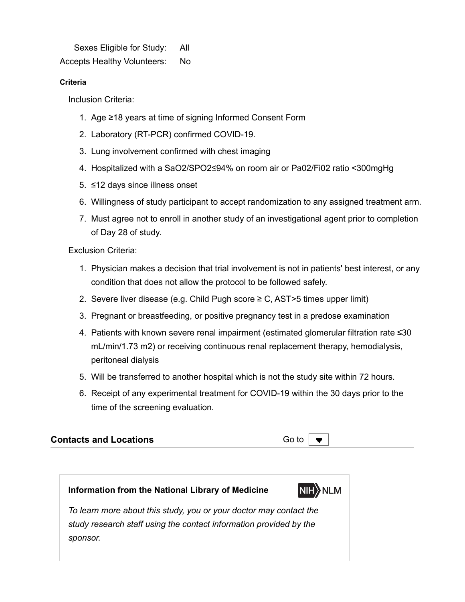Sexes Eligible for Study: All

Accepts Healthy Volunteers: No

## **Criteria**

Inclusion Criteria:

- 1. Age ≥18 years at time of signing Informed Consent Form
- 2. Laboratory (RT-PCR) confirmed COVID-19.
- 3. Lung involvement confirmed with chest imaging
- 4. Hospitalized with a SaO2/SPO2≤94% on room air or Pa02/Fi02 ratio <300mgHg
- 5. ≤12 days since illness onset
- 6. Willingness of study participant to accept randomization to any assigned treatment arm.
- 7. Must agree not to enroll in another study of an investigational agent prior to completion of Day 28 of study.

Exclusion Criteria:

- 1. Physician makes a decision that trial involvement is not in patients' best interest, or any condition that does not allow the protocol to be followed safely.
- 2. Severe liver disease (e.g. Child Pugh score ≥ C, AST>5 times upper limit)
- 3. Pregnant or breastfeeding, or positive pregnancy test in a predose examination
- 4. Patients with known severe renal impairment (estimated glomerular filtration rate ≤30 mL/min/1.73 m2) or receiving continuous renal replacement therapy, hemodialysis, peritoneal dialysis
- 5. Will be transferred to another hospital which is not the study site within 72 hours.
- 6. Receipt of any experimental treatment for COVID-19 within the 30 days prior to the time of the screening evaluation.

| <b>Contacts and Locations</b> | Go to $\vert \bullet \vert$ |  |
|-------------------------------|-----------------------------|--|
|-------------------------------|-----------------------------|--|